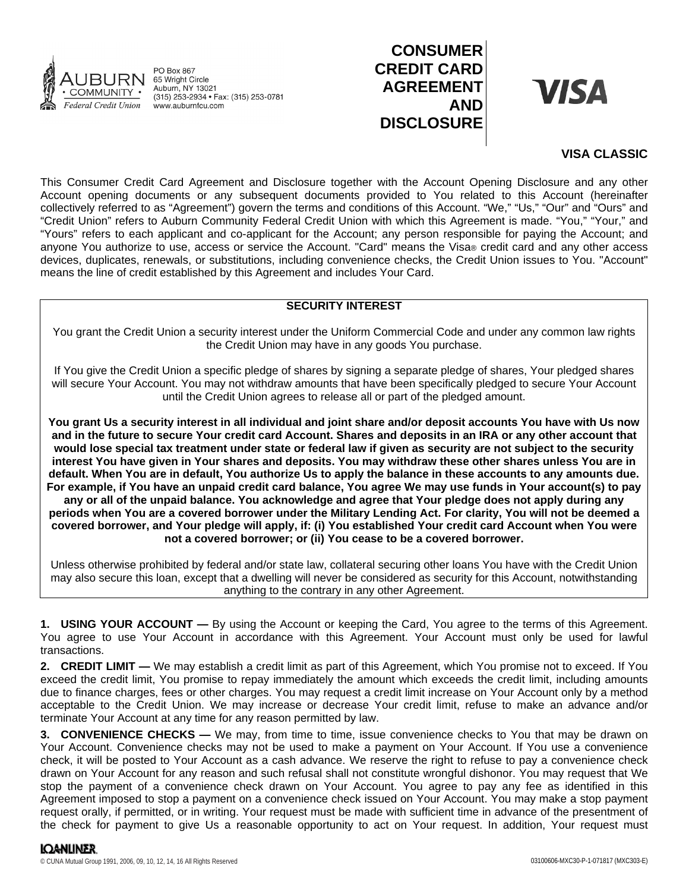

**PO Box 867** 65 Wright Circle<br>Auburn, NY 13021 (315) 253-2934 • Fax: (315) 253-0781 www.auburnfcu.com

# **CONSUMER CREDIT CARD AGREEMENT AND DISCLOSURE**

**VISA** 

## **VISA CLASSIC**

This Consumer Credit Card Agreement and Disclosure together with the Account Opening Disclosure and any other Account opening documents or any subsequent documents provided to You related to this Account (hereinafter collectively referred to as "Agreement") govern the terms and conditions of this Account. "We," "Us," "Our" and "Ours" and "Credit Union" refers to Auburn Community Federal Credit Union with which this Agreement is made. "You," "Your," and "Yours" refers to each applicant and co-applicant for the Account; any person responsible for paying the Account; and anyone You authorize to use, access or service the Account. "Card" means the Visa® credit card and any other access devices, duplicates, renewals, or substitutions, including convenience checks, the Credit Union issues to You. "Account" means the line of credit established by this Agreement and includes Your Card.

## **SECURITY INTEREST**

You grant the Credit Union a security interest under the Uniform Commercial Code and under any common law rights the Credit Union may have in any goods You purchase.

If You give the Credit Union a specific pledge of shares by signing a separate pledge of shares, Your pledged shares will secure Your Account. You may not withdraw amounts that have been specifically pledged to secure Your Account until the Credit Union agrees to release all or part of the pledged amount.

**You grant Us a security interest in all individual and joint share and/or deposit accounts You have with Us now and in the future to secure Your credit card Account. Shares and deposits in an IRA or any other account that would lose special tax treatment under state or federal law if given as security are not subject to the security interest You have given in Your shares and deposits. You may withdraw these other shares unless You are in default. When You are in default, You authorize Us to apply the balance in these accounts to any amounts due. For example, if You have an unpaid credit card balance, You agree We may use funds in Your account(s) to pay any or all of the unpaid balance. You acknowledge and agree that Your pledge does not apply during any periods when You are a covered borrower under the Military Lending Act. For clarity, You will not be deemed a covered borrower, and Your pledge will apply, if: (i) You established Your credit card Account when You were not a covered borrower; or (ii) You cease to be a covered borrower.**

Unless otherwise prohibited by federal and/or state law, collateral securing other loans You have with the Credit Union may also secure this loan, except that a dwelling will never be considered as security for this Account, notwithstanding anything to the contrary in any other Agreement.

**1. USING YOUR ACCOUNT —** By using the Account or keeping the Card, You agree to the terms of this Agreement. You agree to use Your Account in accordance with this Agreement. Your Account must only be used for lawful transactions.

**2. CREDIT LIMIT —** We may establish a credit limit as part of this Agreement, which You promise not to exceed. If You exceed the credit limit, You promise to repay immediately the amount which exceeds the credit limit, including amounts due to finance charges, fees or other charges. You may request a credit limit increase on Your Account only by a method acceptable to the Credit Union. We may increase or decrease Your credit limit, refuse to make an advance and/or terminate Your Account at any time for any reason permitted by law.

**3. CONVENIENCE CHECKS —** We may, from time to time, issue convenience checks to You that may be drawn on Your Account. Convenience checks may not be used to make a payment on Your Account. If You use a convenience check, it will be posted to Your Account as a cash advance. We reserve the right to refuse to pay a convenience check drawn on Your Account for any reason and such refusal shall not constitute wrongful dishonor. You may request that We stop the payment of a convenience check drawn on Your Account. You agree to pay any fee as identified in this Agreement imposed to stop a payment on a convenience check issued on Your Account. You may make a stop payment request orally, if permitted, or in writing. Your request must be made with sufficient time in advance of the presentment of the check for payment to give Us a reasonable opportunity to act on Your request. In addition, Your request must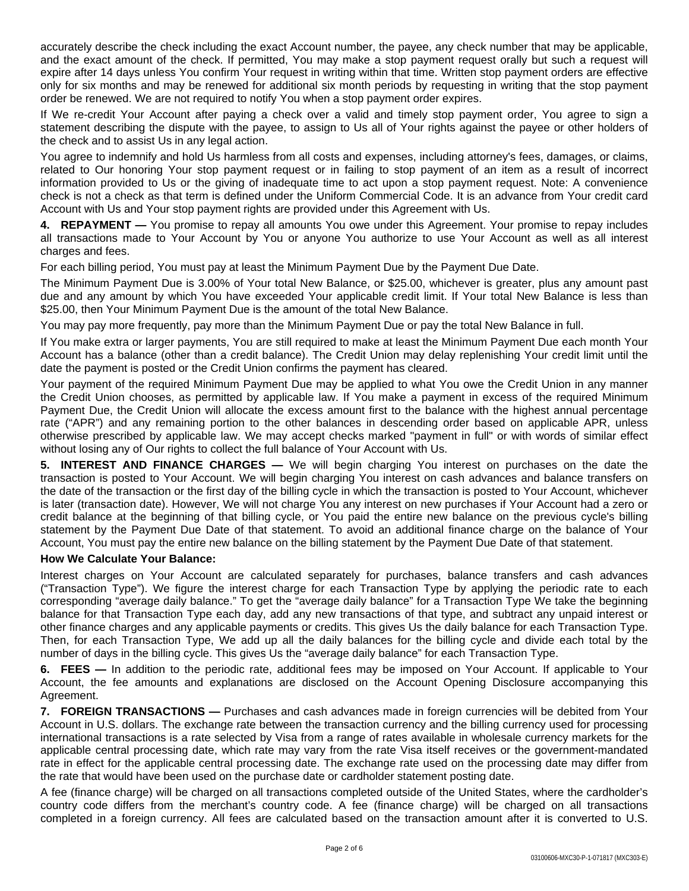accurately describe the check including the exact Account number, the payee, any check number that may be applicable, and the exact amount of the check. If permitted, You may make a stop payment request orally but such a request will expire after 14 days unless You confirm Your request in writing within that time. Written stop payment orders are effective only for six months and may be renewed for additional six month periods by requesting in writing that the stop payment order be renewed. We are not required to notify You when a stop payment order expires.

If We re-credit Your Account after paying a check over a valid and timely stop payment order, You agree to sign a statement describing the dispute with the payee, to assign to Us all of Your rights against the payee or other holders of the check and to assist Us in any legal action.

You agree to indemnify and hold Us harmless from all costs and expenses, including attorney's fees, damages, or claims, related to Our honoring Your stop payment request or in failing to stop payment of an item as a result of incorrect information provided to Us or the giving of inadequate time to act upon a stop payment request. Note: A convenience check is not a check as that term is defined under the Uniform Commercial Code. It is an advance from Your credit card Account with Us and Your stop payment rights are provided under this Agreement with Us.

**4. REPAYMENT —** You promise to repay all amounts You owe under this Agreement. Your promise to repay includes all transactions made to Your Account by You or anyone You authorize to use Your Account as well as all interest charges and fees.

For each billing period, You must pay at least the Minimum Payment Due by the Payment Due Date.

The Minimum Payment Due is 3.00% of Your total New Balance, or \$25.00, whichever is greater, plus any amount past due and any amount by which You have exceeded Your applicable credit limit. If Your total New Balance is less than \$25.00, then Your Minimum Payment Due is the amount of the total New Balance.

You may pay more frequently, pay more than the Minimum Payment Due or pay the total New Balance in full.

If You make extra or larger payments, You are still required to make at least the Minimum Payment Due each month Your Account has a balance (other than a credit balance). The Credit Union may delay replenishing Your credit limit until the date the payment is posted or the Credit Union confirms the payment has cleared.

Your payment of the required Minimum Payment Due may be applied to what You owe the Credit Union in any manner the Credit Union chooses, as permitted by applicable law. If You make a payment in excess of the required Minimum Payment Due, the Credit Union will allocate the excess amount first to the balance with the highest annual percentage rate ("APR") and any remaining portion to the other balances in descending order based on applicable APR, unless otherwise prescribed by applicable law. We may accept checks marked "payment in full" or with words of similar effect without losing any of Our rights to collect the full balance of Your Account with Us.

**5. INTEREST AND FINANCE CHARGES —** We will begin charging You interest on purchases on the date the transaction is posted to Your Account. We will begin charging You interest on cash advances and balance transfers on the date of the transaction or the first day of the billing cycle in which the transaction is posted to Your Account, whichever is later (transaction date). However, We will not charge You any interest on new purchases if Your Account had a zero or credit balance at the beginning of that billing cycle, or You paid the entire new balance on the previous cycle's billing statement by the Payment Due Date of that statement. To avoid an additional finance charge on the balance of Your Account, You must pay the entire new balance on the billing statement by the Payment Due Date of that statement.

## **How We Calculate Your Balance:**

Interest charges on Your Account are calculated separately for purchases, balance transfers and cash advances ("Transaction Type"). We figure the interest charge for each Transaction Type by applying the periodic rate to each corresponding "average daily balance." To get the "average daily balance" for a Transaction Type We take the beginning balance for that Transaction Type each day, add any new transactions of that type, and subtract any unpaid interest or other finance charges and any applicable payments or credits. This gives Us the daily balance for each Transaction Type. Then, for each Transaction Type, We add up all the daily balances for the billing cycle and divide each total by the number of days in the billing cycle. This gives Us the "average daily balance" for each Transaction Type.

**6. FEES —** In addition to the periodic rate, additional fees may be imposed on Your Account. If applicable to Your Account, the fee amounts and explanations are disclosed on the Account Opening Disclosure accompanying this Agreement.

**7. FOREIGN TRANSACTIONS —** Purchases and cash advances made in foreign currencies will be debited from Your Account in U.S. dollars. The exchange rate between the transaction currency and the billing currency used for processing international transactions is a rate selected by Visa from a range of rates available in wholesale currency markets for the applicable central processing date, which rate may vary from the rate Visa itself receives or the government-mandated rate in effect for the applicable central processing date. The exchange rate used on the processing date may differ from the rate that would have been used on the purchase date or cardholder statement posting date.

A fee (finance charge) will be charged on all transactions completed outside of the United States, where the cardholder's country code differs from the merchant's country code. A fee (finance charge) will be charged on all transactions completed in a foreign currency. All fees are calculated based on the transaction amount after it is converted to U.S.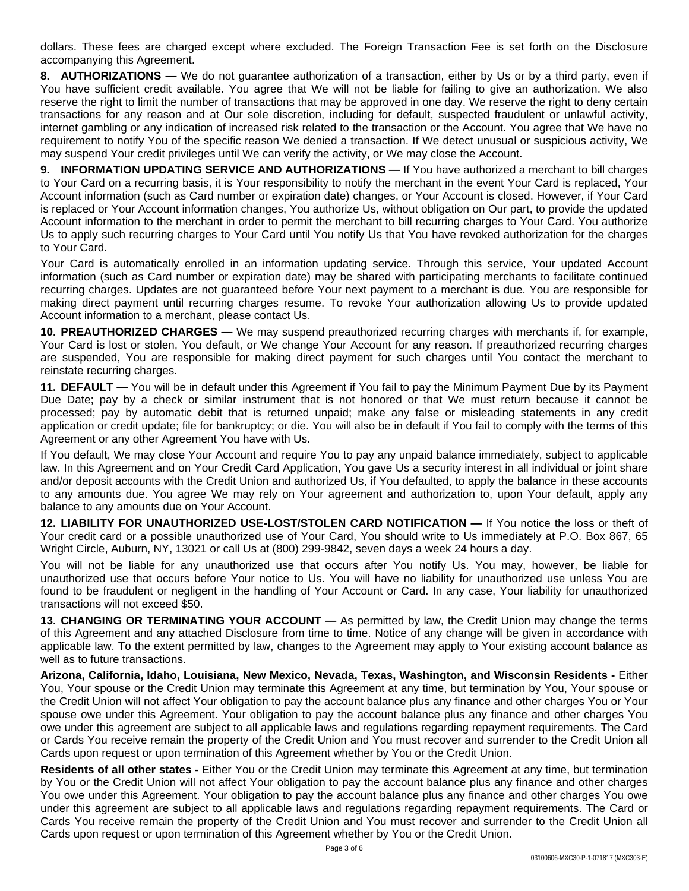dollars. These fees are charged except where excluded. The Foreign Transaction Fee is set forth on the Disclosure accompanying this Agreement.

**8. AUTHORIZATIONS —** We do not guarantee authorization of a transaction, either by Us or by a third party, even if You have sufficient credit available. You agree that We will not be liable for failing to give an authorization. We also reserve the right to limit the number of transactions that may be approved in one day. We reserve the right to deny certain transactions for any reason and at Our sole discretion, including for default, suspected fraudulent or unlawful activity, internet gambling or any indication of increased risk related to the transaction or the Account. You agree that We have no requirement to notify You of the specific reason We denied a transaction. If We detect unusual or suspicious activity, We may suspend Your credit privileges until We can verify the activity, or We may close the Account.

**9. INFORMATION UPDATING SERVICE AND AUTHORIZATIONS —** If You have authorized a merchant to bill charges to Your Card on a recurring basis, it is Your responsibility to notify the merchant in the event Your Card is replaced, Your Account information (such as Card number or expiration date) changes, or Your Account is closed. However, if Your Card is replaced or Your Account information changes, You authorize Us, without obligation on Our part, to provide the updated Account information to the merchant in order to permit the merchant to bill recurring charges to Your Card. You authorize Us to apply such recurring charges to Your Card until You notify Us that You have revoked authorization for the charges to Your Card.

Your Card is automatically enrolled in an information updating service. Through this service, Your updated Account information (such as Card number or expiration date) may be shared with participating merchants to facilitate continued recurring charges. Updates are not guaranteed before Your next payment to a merchant is due. You are responsible for making direct payment until recurring charges resume. To revoke Your authorization allowing Us to provide updated Account information to a merchant, please contact Us.

**10. PREAUTHORIZED CHARGES —** We may suspend preauthorized recurring charges with merchants if, for example, Your Card is lost or stolen, You default, or We change Your Account for any reason. If preauthorized recurring charges are suspended, You are responsible for making direct payment for such charges until You contact the merchant to reinstate recurring charges.

**11. DEFAULT —** You will be in default under this Agreement if You fail to pay the Minimum Payment Due by its Payment Due Date; pay by a check or similar instrument that is not honored or that We must return because it cannot be processed; pay by automatic debit that is returned unpaid; make any false or misleading statements in any credit application or credit update; file for bankruptcy; or die. You will also be in default if You fail to comply with the terms of this Agreement or any other Agreement You have with Us.

If You default, We may close Your Account and require You to pay any unpaid balance immediately, subject to applicable law. In this Agreement and on Your Credit Card Application, You gave Us a security interest in all individual or joint share and/or deposit accounts with the Credit Union and authorized Us, if You defaulted, to apply the balance in these accounts to any amounts due. You agree We may rely on Your agreement and authorization to, upon Your default, apply any balance to any amounts due on Your Account.

**12. LIABILITY FOR UNAUTHORIZED USE-LOST/STOLEN CARD NOTIFICATION —** If You notice the loss or theft of Your credit card or a possible unauthorized use of Your Card, You should write to Us immediately at P.O. Box 867, 65 Wright Circle, Auburn, NY, 13021 or call Us at (800) 299-9842, seven days a week 24 hours a day.

You will not be liable for any unauthorized use that occurs after You notify Us. You may, however, be liable for unauthorized use that occurs before Your notice to Us. You will have no liability for unauthorized use unless You are found to be fraudulent or negligent in the handling of Your Account or Card. In any case, Your liability for unauthorized transactions will not exceed \$50.

**13. CHANGING OR TERMINATING YOUR ACCOUNT —** As permitted by law, the Credit Union may change the terms of this Agreement and any attached Disclosure from time to time. Notice of any change will be given in accordance with applicable law. To the extent permitted by law, changes to the Agreement may apply to Your existing account balance as well as to future transactions.

**Arizona, California, Idaho, Louisiana, New Mexico, Nevada, Texas, Washington, and Wisconsin Residents -** Either You, Your spouse or the Credit Union may terminate this Agreement at any time, but termination by You, Your spouse or the Credit Union will not affect Your obligation to pay the account balance plus any finance and other charges You or Your spouse owe under this Agreement. Your obligation to pay the account balance plus any finance and other charges You owe under this agreement are subject to all applicable laws and regulations regarding repayment requirements. The Card or Cards You receive remain the property of the Credit Union and You must recover and surrender to the Credit Union all Cards upon request or upon termination of this Agreement whether by You or the Credit Union.

**Residents of all other states -** Either You or the Credit Union may terminate this Agreement at any time, but termination by You or the Credit Union will not affect Your obligation to pay the account balance plus any finance and other charges You owe under this Agreement. Your obligation to pay the account balance plus any finance and other charges You owe under this agreement are subject to all applicable laws and regulations regarding repayment requirements. The Card or Cards You receive remain the property of the Credit Union and You must recover and surrender to the Credit Union all Cards upon request or upon termination of this Agreement whether by You or the Credit Union.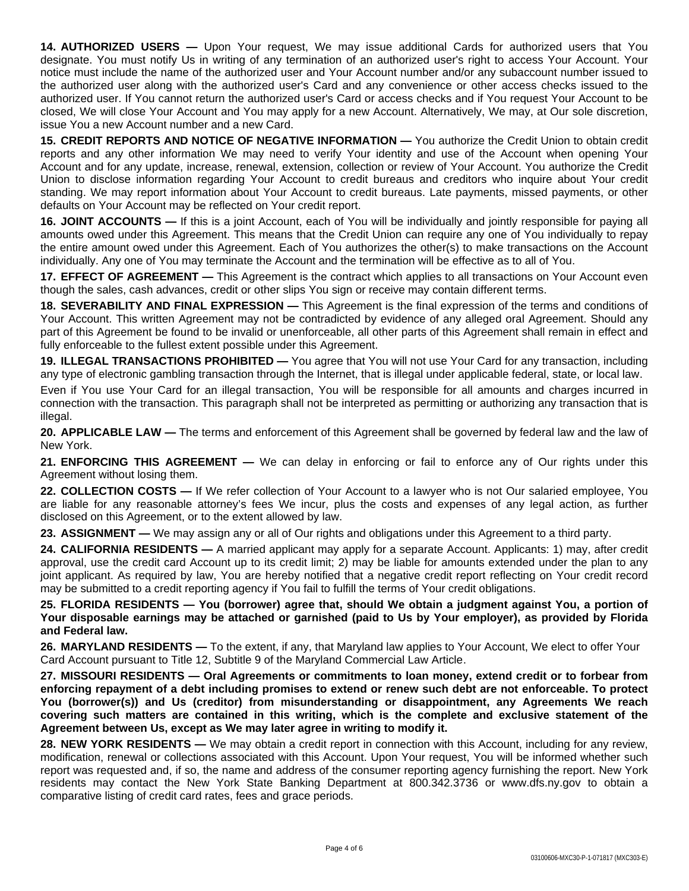**14. AUTHORIZED USERS —** Upon Your request, We may issue additional Cards for authorized users that You designate. You must notify Us in writing of any termination of an authorized user's right to access Your Account. Your notice must include the name of the authorized user and Your Account number and/or any subaccount number issued to the authorized user along with the authorized user's Card and any convenience or other access checks issued to the authorized user. If You cannot return the authorized user's Card or access checks and if You request Your Account to be closed, We will close Your Account and You may apply for a new Account. Alternatively, We may, at Our sole discretion, issue You a new Account number and a new Card.

**15. CREDIT REPORTS AND NOTICE OF NEGATIVE INFORMATION —** You authorize the Credit Union to obtain credit reports and any other information We may need to verify Your identity and use of the Account when opening Your Account and for any update, increase, renewal, extension, collection or review of Your Account. You authorize the Credit Union to disclose information regarding Your Account to credit bureaus and creditors who inquire about Your credit standing. We may report information about Your Account to credit bureaus. Late payments, missed payments, or other defaults on Your Account may be reflected on Your credit report.

**16. JOINT ACCOUNTS —** If this is a joint Account, each of You will be individually and jointly responsible for paying all amounts owed under this Agreement. This means that the Credit Union can require any one of You individually to repay the entire amount owed under this Agreement. Each of You authorizes the other(s) to make transactions on the Account individually. Any one of You may terminate the Account and the termination will be effective as to all of You.

**17. EFFECT OF AGREEMENT —** This Agreement is the contract which applies to all transactions on Your Account even though the sales, cash advances, credit or other slips You sign or receive may contain different terms.

**18. SEVERABILITY AND FINAL EXPRESSION —** This Agreement is the final expression of the terms and conditions of Your Account. This written Agreement may not be contradicted by evidence of any alleged oral Agreement. Should any part of this Agreement be found to be invalid or unenforceable, all other parts of this Agreement shall remain in effect and fully enforceable to the fullest extent possible under this Agreement.

**19. ILLEGAL TRANSACTIONS PROHIBITED —** You agree that You will not use Your Card for any transaction, including any type of electronic gambling transaction through the Internet, that is illegal under applicable federal, state, or local law.

Even if You use Your Card for an illegal transaction, You will be responsible for all amounts and charges incurred in connection with the transaction. This paragraph shall not be interpreted as permitting or authorizing any transaction that is illegal.

**20. APPLICABLE LAW —** The terms and enforcement of this Agreement shall be governed by federal law and the law of New York.

**21. ENFORCING THIS AGREEMENT —** We can delay in enforcing or fail to enforce any of Our rights under this Agreement without losing them.

**22. COLLECTION COSTS —** If We refer collection of Your Account to a lawyer who is not Our salaried employee, You are liable for any reasonable attorney's fees We incur, plus the costs and expenses of any legal action, as further disclosed on this Agreement, or to the extent allowed by law.

**23. ASSIGNMENT —** We may assign any or all of Our rights and obligations under this Agreement to a third party.

**24. CALIFORNIA RESIDENTS —** A married applicant may apply for a separate Account. Applicants: 1) may, after credit approval, use the credit card Account up to its credit limit; 2) may be liable for amounts extended under the plan to any joint applicant. As required by law, You are hereby notified that a negative credit report reflecting on Your credit record may be submitted to a credit reporting agency if You fail to fulfill the terms of Your credit obligations.

25. FLORIDA RESIDENTS - You (borrower) agree that, should We obtain a judgment against You, a portion of Your disposable earnings may be attached or garnished (paid to Us by Your employer), as provided by Florida **and Federal law.**

**26. MARYLAND RESIDENTS —** To the extent, if any, that Maryland law applies to Your Account, We elect to offer Your Card Account pursuant to Title 12, Subtitle 9 of the Maryland Commercial Law Article.

**27. MISSOURI RESIDENTS — Oral Agreements or commitments to loan money, extend credit or to forbear from** enforcing repayment of a debt including promises to extend or renew such debt are not enforceable. To protect **You (borrower(s)) and Us (creditor) from misunderstanding or disappointment, any Agreements We reach covering such matters are contained in this writing, which is the complete and exclusive statement of the Agreement between Us, except as We may later agree in writing to modify it.**

**28. NEW YORK RESIDENTS —** We may obtain a credit report in connection with this Account, including for any review, modification, renewal or collections associated with this Account. Upon Your request, You will be informed whether such report was requested and, if so, the name and address of the consumer reporting agency furnishing the report. New York residents may contact the New York State Banking Department at 800.342.3736 or www.dfs.ny.gov to obtain a comparative listing of credit card rates, fees and grace periods.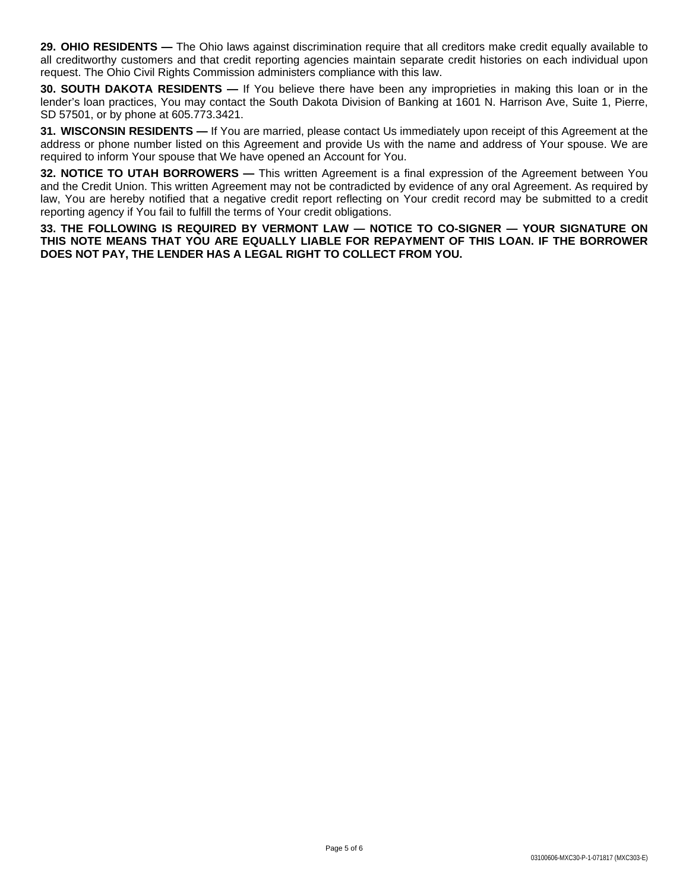**29. OHIO RESIDENTS —** The Ohio laws against discrimination require that all creditors make credit equally available to all creditworthy customers and that credit reporting agencies maintain separate credit histories on each individual upon request. The Ohio Civil Rights Commission administers compliance with this law.

**30. SOUTH DAKOTA RESIDENTS —** If You believe there have been any improprieties in making this loan or in the lender's loan practices, You may contact the South Dakota Division of Banking at 1601 N. Harrison Ave, Suite 1, Pierre, SD 57501, or by phone at 605.773.3421.

**31. WISCONSIN RESIDENTS —** If You are married, please contact Us immediately upon receipt of this Agreement at the address or phone number listed on this Agreement and provide Us with the name and address of Your spouse. We are required to inform Your spouse that We have opened an Account for You.

**32. NOTICE TO UTAH BORROWERS —** This written Agreement is a final expression of the Agreement between You and the Credit Union. This written Agreement may not be contradicted by evidence of any oral Agreement. As required by law, You are hereby notified that a negative credit report reflecting on Your credit record may be submitted to a credit reporting agency if You fail to fulfill the terms of Your credit obligations.

**33. THE FOLLOWING IS REQUIRED BY VERMONT LAW — NOTICE TO CO-SIGNER — YOUR SIGNATURE ON THIS NOTE MEANS THAT YOU ARE EQUALLY LIABLE FOR REPAYMENT OF THIS LOAN. IF THE BORROWER DOES NOT PAY, THE LENDER HAS A LEGAL RIGHT TO COLLECT FROM YOU.**